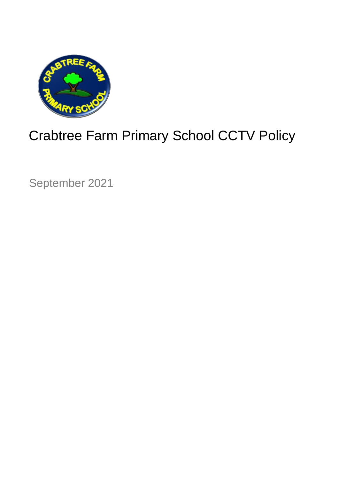

# Crabtree Farm Primary School CCTV Policy

September 2021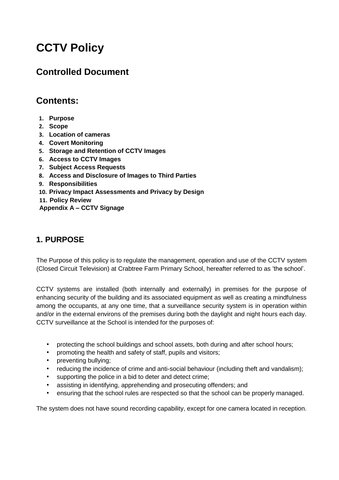## **CCTV Policy**

## **Controlled Document**

## **Contents:**

- **1. Purpose**
- **2. Scope**
- **3. Location of cameras**
- **4. Covert Monitoring**
- **5. Storage and Retention of CCTV Images**
- **6. Access to CCTV Images**
- **7. Subject Access Requests**
- **8. Access and Disclosure of Images to Third Parties**
- **9. Responsibilities**
- **10. Privacy Impact Assessments and Privacy by Design**
- **11. Policy Review**

**Appendix A – CCTV Signage**

#### **1. PURPOSE**

The Purpose of this policy is to regulate the management, operation and use of the CCTV system (Closed Circuit Television) at Crabtree Farm Primary School, hereafter referred to as 'the school'.

CCTV systems are installed (both internally and externally) in premises for the purpose of enhancing security of the building and its associated equipment as well as creating a mindfulness among the occupants, at any one time, that a surveillance security system is in operation within and/or in the external environs of the premises during both the daylight and night hours each day. CCTV surveillance at the School is intended for the purposes of:

- protecting the school buildings and school assets, both during and after school hours;
- promoting the health and safety of staff, pupils and visitors;
- preventing bullying;
- reducing the incidence of crime and anti-social behaviour (including theft and vandalism);
- supporting the police in a bid to deter and detect crime;
- assisting in identifying, apprehending and prosecuting offenders; and
- ensuring that the school rules are respected so that the school can be properly managed.

The system does not have sound recording capability, except for one camera located in reception.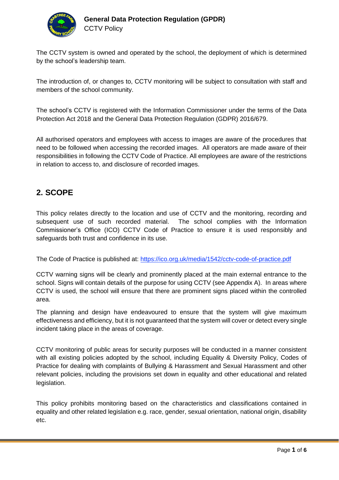

The CCTV system is owned and operated by the school, the deployment of which is determined by the school's leadership team.

The introduction of, or changes to, CCTV monitoring will be subject to consultation with staff and members of the school community.

The school's CCTV is registered with the Information Commissioner under the terms of the Data Protection Act 2018 and the General Data Protection Regulation (GDPR) 2016/679.

All authorised operators and employees with access to images are aware of the procedures that need to be followed when accessing the recorded images. All operators are made aware of their responsibilities in following the CCTV Code of Practice. All employees are aware of the restrictions in relation to access to, and disclosure of recorded images.

#### **2. SCOPE**

This policy relates directly to the location and use of CCTV and the monitoring, recording and subsequent use of such recorded material. The school complies with the Information Commissioner's Office (ICO) CCTV Code of Practice to ensure it is used responsibly and safeguards both trust and confidence in its use.

The Code of Practice is published at[:](https://ico.org.uk/media/1542/cctv-code-of-practice.pdf) <https://ico.org.uk/media/1542/cctv-code-of-practice.pdf>

CCTV warning signs will be clearly and prominently placed at the main external entrance to the school. Signs will contain details of the purpose for using CCTV (see Appendix A). In areas where CCTV is used, the school will ensure that there are prominent signs placed within the controlled area.

The planning and design have endeavoured to ensure that the system will give maximum effectiveness and efficiency, but it is not guaranteed that the system will cover or detect every single incident taking place in the areas of coverage.

CCTV monitoring of public areas for security purposes will be conducted in a manner consistent with all existing policies adopted by the school, including Equality & Diversity Policy, Codes of Practice for dealing with complaints of Bullying & Harassment and Sexual Harassment and other relevant policies, including the provisions set down in equality and other educational and related legislation.

This policy prohibits monitoring based on the characteristics and classifications contained in equality and other related legislation e.g. race, gender, sexual orientation, national origin, disability etc.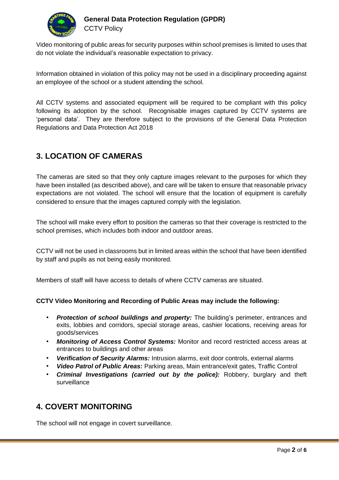

Video monitoring of public areas for security purposes within school premises is limited to uses that do not violate the individual's reasonable expectation to privacy.

Information obtained in violation of this policy may not be used in a disciplinary proceeding against an employee of the school or a student attending the school.

All CCTV systems and associated equipment will be required to be compliant with this policy following its adoption by the school. Recognisable images captured by CCTV systems are 'personal data'. They are therefore subject to the provisions of the General Data Protection Regulations and Data Protection Act 2018

#### **3. LOCATION OF CAMERAS**

The cameras are sited so that they only capture images relevant to the purposes for which they have been installed (as described above), and care will be taken to ensure that reasonable privacy expectations are not violated. The school will ensure that the location of equipment is carefully considered to ensure that the images captured comply with the legislation.

The school will make every effort to position the cameras so that their coverage is restricted to the school premises, which includes both indoor and outdoor areas.

CCTV will not be used in classrooms but in limited areas within the school that have been identified by staff and pupils as not being easily monitored.

Members of staff will have access to details of where CCTV cameras are situated.

#### **CCTV Video Monitoring and Recording of Public Areas may include the following:**

- *Protection of school buildings and property:* The building's perimeter, entrances and exits, lobbies and corridors, special storage areas, cashier locations, receiving areas for goods/services
- *Monitoring of Access Control Systems:* Monitor and record restricted access areas at entrances to buildings and other areas
- *Verification of Security Alarms:* Intrusion alarms, exit door controls, external alarms
- *Video Patrol of Public Areas:* Parking areas, Main entrance/exit gates, Traffic Control
- *Criminal Investigations (carried out by the police):* Robbery, burglary and theft surveillance

#### **4. COVERT MONITORING**

The school will not engage in covert surveillance.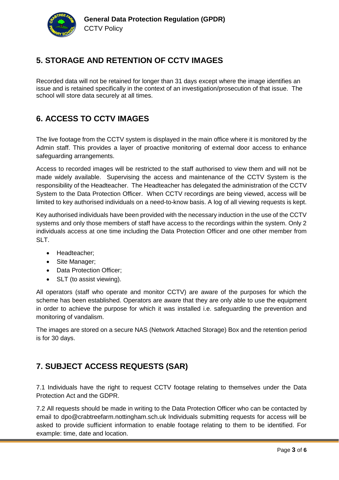

#### **5. STORAGE AND RETENTION OF CCTV IMAGES**

Recorded data will not be retained for longer than 31 days except where the image identifies an issue and is retained specifically in the context of an investigation/prosecution of that issue. The school will store data securely at all times.

#### **6. ACCESS TO CCTV IMAGES**

The live footage from the CCTV system is displayed in the main office where it is monitored by the Admin staff. This provides a layer of proactive monitoring of external door access to enhance safeguarding arrangements.

Access to recorded images will be restricted to the staff authorised to view them and will not be made widely available. Supervising the access and maintenance of the CCTV System is the responsibility of the Headteacher. The Headteacher has delegated the administration of the CCTV System to the Data Protection Officer. When CCTV recordings are being viewed, access will be limited to key authorised individuals on a need-to-know basis. A log of all viewing requests is kept.

Key authorised individuals have been provided with the necessary induction in the use of the CCTV systems and only those members of staff have access to the recordings within the system. Only 2 individuals access at one time including the Data Protection Officer and one other member from SLT.

- Headteacher;
- Site Manager;
- Data Protection Officer;
- SLT (to assist viewing).

All operators (staff who operate and monitor CCTV) are aware of the purposes for which the scheme has been established. Operators are aware that they are only able to use the equipment in order to achieve the purpose for which it was installed i.e. safeguarding the prevention and monitoring of vandalism.

The images are stored on a secure NAS (Network Attached Storage) Box and the retention period is for 30 days.

## **7. SUBJECT ACCESS REQUESTS (SAR)**

7.1 Individuals have the right to request CCTV footage relating to themselves under the Data Protection Act and the GDPR.

7.2 All requests should be made in writing to the Data Protection Officer who can be contacted by email to dpo@crabtreefarm.nottingham.sch.uk Individuals submitting requests for access will be asked to provide sufficient information to enable footage relating to them to be identified. For example: time, date and location.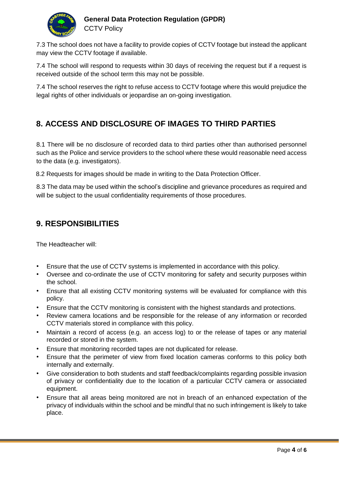

#### **General Data Protection Regulation (GPDR) CCTV Policy**

7.3 The school does not have a facility to provide copies of CCTV footage but instead the applicant may view the CCTV footage if available.

7.4 The school will respond to requests within 30 days of receiving the request but if a request is received outside of the school term this may not be possible.

7.4 The school reserves the right to refuse access to CCTV footage where this would prejudice the legal rights of other individuals or jeopardise an on-going investigation.

#### **8. ACCESS AND DISCLOSURE OF IMAGES TO THIRD PARTIES**

8.1 There will be no disclosure of recorded data to third parties other than authorised personnel such as the Police and service providers to the school where these would reasonable need access to the data (e.g. investigators).

8.2 Requests for images should be made in writing to the Data Protection Officer.

8.3 The data may be used within the school's discipline and grievance procedures as required and will be subject to the usual confidentiality requirements of those procedures.

#### **9. RESPONSIBILITIES**

The Headteacher will:

- Ensure that the use of CCTV systems is implemented in accordance with this policy.
- Oversee and co-ordinate the use of CCTV monitoring for safety and security purposes within the school.
- Ensure that all existing CCTV monitoring systems will be evaluated for compliance with this policy.
- Ensure that the CCTV monitoring is consistent with the highest standards and protections.
- Review camera locations and be responsible for the release of any information or recorded CCTV materials stored in compliance with this policy.
- Maintain a record of access (e.g. an access log) to or the release of tapes or any material recorded or stored in the system.
- Ensure that monitoring recorded tapes are not duplicated for release.
- Ensure that the perimeter of view from fixed location cameras conforms to this policy both internally and externally.
- Give consideration to both students and staff feedback/complaints regarding possible invasion of privacy or confidentiality due to the location of a particular CCTV camera or associated equipment.
- Ensure that all areas being monitored are not in breach of an enhanced expectation of the privacy of individuals within the school and be mindful that no such infringement is likely to take place.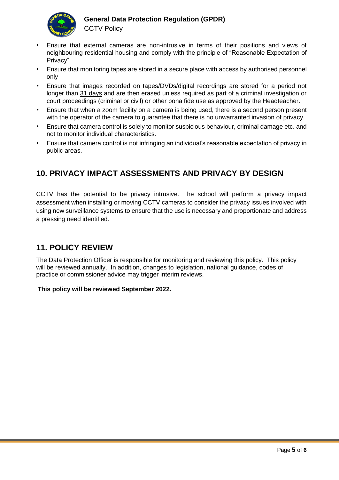

#### **General Data Protection Regulation (GPDR)**

**CCTV Policy** 

- Ensure that external cameras are non-intrusive in terms of their positions and views of neighbouring residential housing and comply with the principle of "Reasonable Expectation of Privacy"
- Ensure that monitoring tapes are stored in a secure place with access by authorised personnel only
- Ensure that images recorded on tapes/DVDs/digital recordings are stored for a period not longer than 31 days and are then erased unless required as part of a criminal investigation or court proceedings (criminal or civil) or other bona fide use as approved by the Headteacher.
- Ensure that when a zoom facility on a camera is being used, there is a second person present with the operator of the camera to guarantee that there is no unwarranted invasion of privacy.
- Ensure that camera control is solely to monitor suspicious behaviour, criminal damage etc. and not to monitor individual characteristics.
- Ensure that camera control is not infringing an individual's reasonable expectation of privacy in public areas.

## **10. PRIVACY IMPACT ASSESSMENTS AND PRIVACY BY DESIGN**

CCTV has the potential to be privacy intrusive. The school will perform a privacy impact assessment when installing or moving CCTV cameras to consider the privacy issues involved with using new surveillance systems to ensure that the use is necessary and proportionate and address a pressing need identified.

#### **11. POLICY REVIEW**

The Data Protection Officer is responsible for monitoring and reviewing this policy. This policy will be reviewed annually. In addition, changes to legislation, national guidance, codes of practice or commissioner advice may trigger interim reviews.

#### **This policy will be reviewed September 2022.**